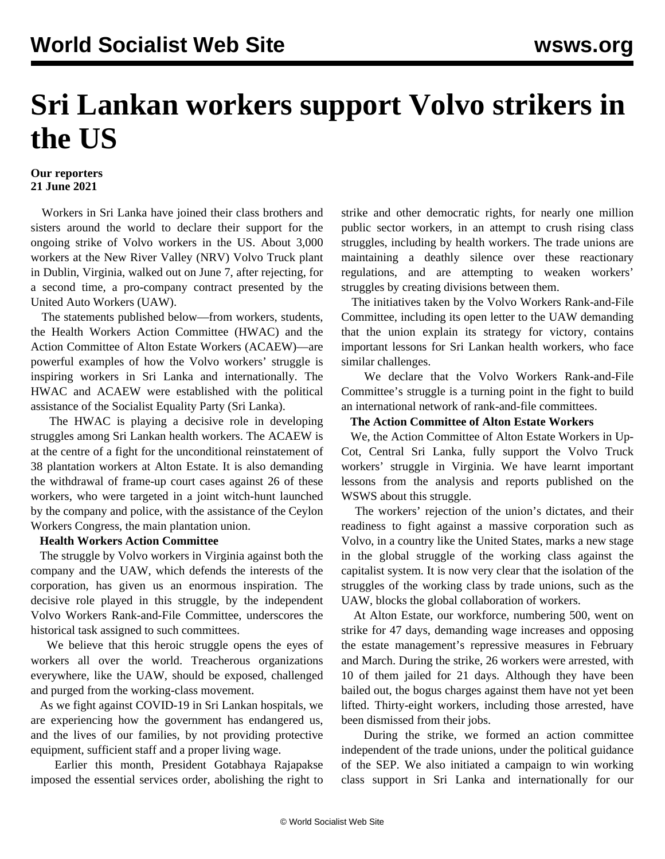# **Sri Lankan workers support Volvo strikers in the US**

## **Our reporters 21 June 2021**

 Workers in Sri Lanka have joined their class brothers and sisters around the world to declare their support for the ongoing strike of Volvo workers in the US. About 3,000 workers at the New River Valley (NRV) Volvo Truck plant in Dublin, Virginia, walked out on June 7, after rejecting, for a second time, a pro-company contract presented by the United Auto Workers (UAW).

 The statements published below—from workers, students, the Health Workers Action Committee (HWAC) and the Action Committee of Alton Estate Workers (ACAEW)—are powerful examples of how the Volvo workers' struggle is inspiring workers in Sri Lanka and internationally. The HWAC and ACAEW were established with the political assistance of the Socialist Equality Party (Sri Lanka).

 The HWAC is playing a decisive role in developing struggles among Sri Lankan health workers. The ACAEW is at the centre of a fight for the unconditional reinstatement of 38 plantation workers at Alton Estate. It is also demanding the withdrawal of frame-up court cases against 26 of these workers, who were targeted in a joint witch-hunt launched by the company and police, with the assistance of the Ceylon Workers Congress, the main plantation union.

#### **Health Workers Action Committee**

 The struggle by Volvo workers in Virginia against both the company and the UAW, which defends the interests of the corporation, has given us an enormous inspiration. The decisive role played in this struggle, by the independent Volvo Workers Rank-and-File Committee, underscores the historical task assigned to such committees.

 We believe that this heroic struggle opens the eyes of workers all over the world. Treacherous organizations everywhere, like the UAW, should be exposed, challenged and purged from the working-class movement.

 As we fight against COVID-19 in Sri Lankan hospitals, we are experiencing how the government has endangered us, and the lives of our families, by not providing protective equipment, sufficient staff and a proper living wage.

 Earlier this month, President Gotabhaya Rajapakse imposed the essential services order, abolishing the right to strike and other democratic rights, for nearly one million public sector workers, in an attempt to crush rising class struggles, including by health workers. The trade unions are maintaining a deathly silence over these reactionary regulations, and are attempting to weaken workers' struggles by creating divisions between them.

 The initiatives taken by the Volvo Workers Rank-and-File Committee, including its open letter to the UAW demanding that the union explain its strategy for victory, contains important lessons for Sri Lankan health workers, who face similar challenges.

 We declare that the Volvo Workers Rank-and-File Committee's struggle is a turning point in the fight to build an international network of rank-and-file committees.

#### **The Action Committee of Alton Estate Workers**

 We, the Action Committee of Alton Estate Workers in Up-Cot, Central Sri Lanka, fully support the Volvo Truck workers' struggle in Virginia. We have learnt important lessons from the analysis and reports published on the WSWS about this struggle.

 The workers' rejection of the union's dictates, and their readiness to fight against a massive corporation such as Volvo, in a country like the United States, marks a new stage in the global struggle of the working class against the capitalist system. It is now very clear that the isolation of the struggles of the working class by trade unions, such as the UAW, blocks the global collaboration of workers.

 At Alton Estate, our workforce, numbering 500, went on strike for 47 days, demanding wage increases and opposing the estate management's repressive measures in February and March. During the strike, 26 workers were arrested, with 10 of them jailed for 21 days. Although they have been bailed out, the bogus charges against them have not yet been lifted. Thirty-eight workers, including those arrested, have been dismissed from their jobs.

 During the strike, we formed an action committee independent of the trade unions, under the political guidance of the SEP. We also initiated a campaign to win working class support in Sri Lanka and internationally for our